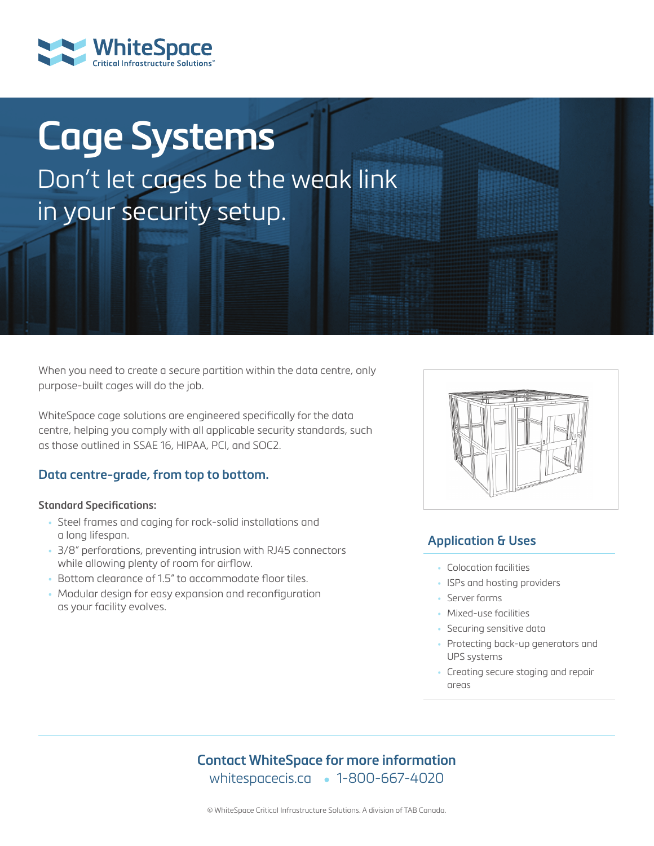# **Cage Systems** Don't let cages be the weak link in your security setup.

When you need to create a secure partition within the data centre, only purpose-built cages will do the job.

WhiteSpace cage solutions are engineered specifically for the data centre, helping you comply with all applicable security standards, such as those outlined in SSAE 16, HIPAA, PCI, and SOC2.

#### **Data centre-grade, from top to bottom.**

#### **Standard Specifications:**

- Steel frames and caging for rock-solid installations and a long lifespan.
- 3/8" perforations, preventing intrusion with RJ45 connectors while allowing plenty of room for airflow.
- Bottom clearance of 1.5" to accommodate floor tiles.
- Modular design for easy expansion and reconfiguration as your facility evolves.



#### **Application & Uses**

- Colocation facilities
- ISPs and hosting providers
- Server farms
- Mixed-use facilities
- Securing sensitive data
- Protecting back-up generators and UPS systems
- Creating secure staging and repair areas

#### **Contact WhiteSpace for more information** whitespacecis.ca • 1-800-667-4020